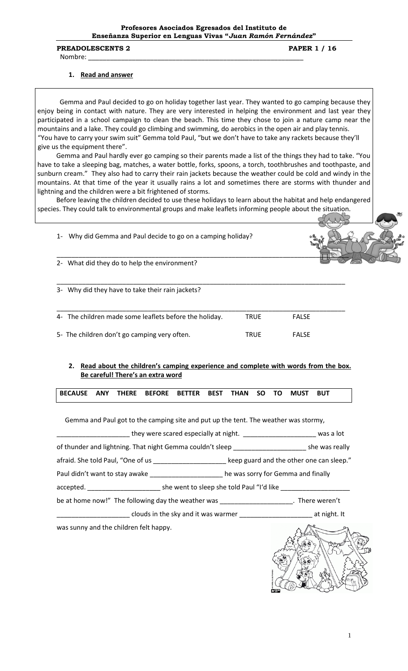#### PREADOLESCENTS 2 PAPER 1 / 16

Nombre: \_\_\_\_\_\_\_\_\_\_\_\_\_\_\_\_\_\_\_\_\_\_\_\_\_\_\_\_\_\_\_\_\_\_\_\_\_\_\_\_\_\_\_\_\_\_\_\_\_\_\_\_\_\_\_\_\_\_\_

### **1. Read and answer**

 Gemma and Paul decided to go on holiday together last year. They wanted to go camping because they enjoy being in contact with nature. They are very interested in helping the environment and last year they participated in a school campaign to clean the beach. This time they chose to join a nature camp near the mountains and a lake. They could go climbing and swimming, do aerobics in the open air and play tennis. "You have to carry your swim suit" Gemma told Paul, "but we don't have to take any rackets because they'll give us the equipment there".

Gemma and Paul hardly ever go camping so their parents made a list of the things they had to take. "You have to take a sleeping bag, matches, a water bottle, forks, spoons, a torch, toothbrushes and toothpaste, and sunburn cream." They also had to carry their rain jackets because the weather could be cold and windy in the mountains. At that time of the year it usually rains a lot and sometimes there are storms with thunder and lightning and the children were a bit frightened of storms.

Before leaving the children decided to use these holidays to learn about the habitat and help endangered species. They could talk to environmental groups and make leaflets informing people about the situation.

 $\leq$   $\sqrt{2}\Pi$ 

\_\_\_\_\_\_\_\_\_\_\_\_\_\_\_\_\_\_\_\_\_\_\_\_\_\_\_\_\_\_\_\_\_\_\_\_\_\_\_\_\_\_\_\_\_\_\_\_\_\_\_\_\_\_\_\_\_\_\_\_\_\_\_\_\_\_\_\_\_\_\_\_\_\_\_\_\_\_\_

1- Why did Gemma and Paul decide to go on a camping holiday?

2- What did they do to help the environment?

3- Why did they have to take their rain jackets?

| 4- The children made some leaflets before the holiday. | TRUE        | <b>FALSE</b> |  |
|--------------------------------------------------------|-------------|--------------|--|
| 5- The children don't go camping very often.           | <b>TRUE</b> | <b>FALSE</b> |  |

### **2. Read about the children's camping experience and complete with words from the box. Be careful! There's an extra word**

| BECAUSE ANY THERE BEFORE BETTER BEST THAN SO TO MUST BUT |  |  |  |  |  |  |  |  |  |  |  |  |
|----------------------------------------------------------|--|--|--|--|--|--|--|--|--|--|--|--|
|----------------------------------------------------------|--|--|--|--|--|--|--|--|--|--|--|--|

Gemma and Paul got to the camping site and put up the tent. The weather was stormy,

\_\_\_\_\_\_\_\_\_\_\_\_\_\_ they were scared especially at night. \_\_\_\_\_\_\_\_\_\_\_\_\_\_\_\_\_\_\_\_\_\_\_\_\_\_\_\_ was a lot

of thunder and lightning. That night Gemma couldn't sleep \_\_\_\_\_\_\_\_\_\_\_\_\_\_\_\_\_\_\_\_\_\_\_\_\_\_\_\_ she was really

afraid. She told Paul, "One of us \_\_\_\_\_\_\_\_\_\_\_\_\_\_\_\_\_\_\_\_\_\_\_ keep guard and the other one can sleep."

Paul didn't want to stay awake \_\_\_\_\_\_\_\_\_\_\_\_\_\_\_\_\_\_\_\_\_\_\_ he was sorry for Gemma and finally

accepted. \_\_\_\_\_\_\_\_\_\_\_\_\_\_\_\_\_\_\_\_ she went to sleep she told Paul "I'd like \_\_\_\_\_\_\_\_\_\_\_\_\_\_\_\_\_\_\_

be at home now!" The following day the weather was \_\_\_\_\_\_\_\_\_\_\_\_\_\_\_\_\_\_\_\_\_\_. There weren't

\_\_\_\_\_ clouds in the sky and it was warmer \_\_\_\_\_\_\_\_\_\_\_\_\_\_\_\_\_\_\_\_\_\_\_\_\_\_\_\_\_ at night. It

was sunny and the children felt happy.